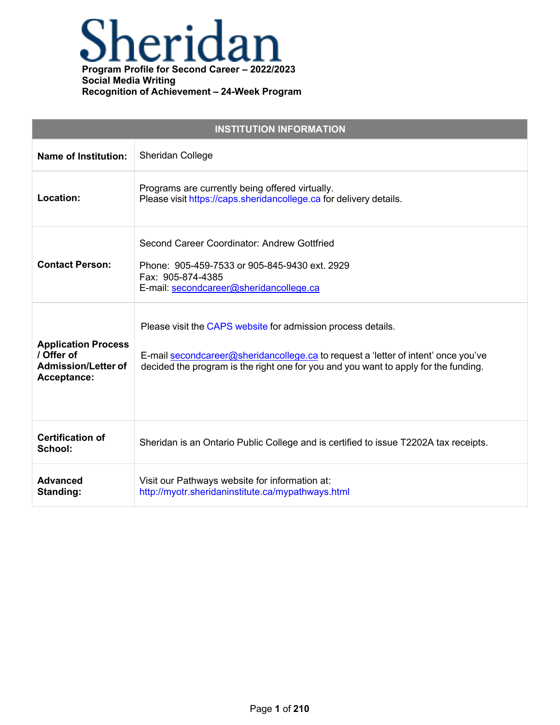

| <b>INSTITUTION INFORMATION</b>                                                        |                                                                                                                                                                                                                                           |  |
|---------------------------------------------------------------------------------------|-------------------------------------------------------------------------------------------------------------------------------------------------------------------------------------------------------------------------------------------|--|
| <b>Name of Institution:</b>                                                           | Sheridan College                                                                                                                                                                                                                          |  |
| Location:                                                                             | Programs are currently being offered virtually.<br>Please visit https://caps.sheridancollege.ca for delivery details.                                                                                                                     |  |
| <b>Contact Person:</b>                                                                | Second Career Coordinator: Andrew Gottfried<br>Phone: 905-459-7533 or 905-845-9430 ext. 2929<br>Fax: 905-874-4385<br>E-mail: secondcareer@sheridancollege.ca                                                                              |  |
| <b>Application Process</b><br>/ Offer of<br><b>Admission/Letter of</b><br>Acceptance: | Please visit the CAPS website for admission process details.<br>E-mail secondcareer@sheridancollege.ca to request a 'letter of intent' once you've<br>decided the program is the right one for you and you want to apply for the funding. |  |
| <b>Certification of</b><br>School:                                                    | Sheridan is an Ontario Public College and is certified to issue T2202A tax receipts.                                                                                                                                                      |  |
| <b>Advanced</b><br>Standing:                                                          | Visit our Pathways website for information at:<br>http://myotr.sheridaninstitute.ca/mypathways.html                                                                                                                                       |  |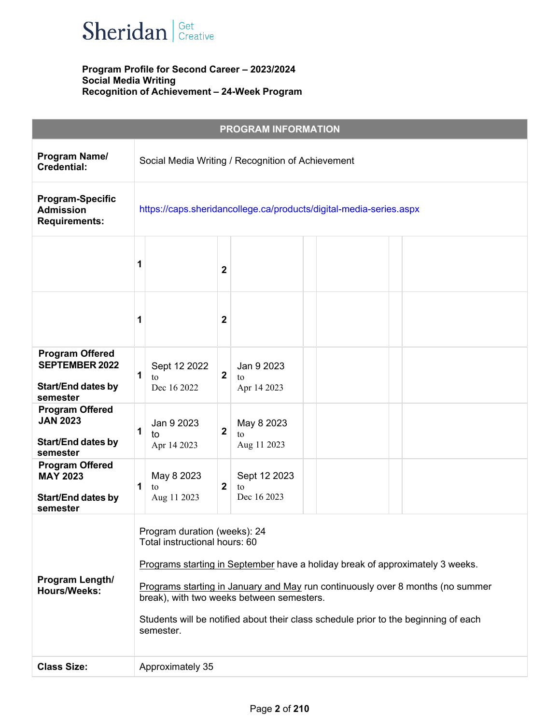

| <b>PROGRAM INFORMATION</b>                                                               |                                                                                                                                                                                                                                                                                                                                                                                   |                             |  |
|------------------------------------------------------------------------------------------|-----------------------------------------------------------------------------------------------------------------------------------------------------------------------------------------------------------------------------------------------------------------------------------------------------------------------------------------------------------------------------------|-----------------------------|--|
| Program Name/<br><b>Credential:</b>                                                      | Social Media Writing / Recognition of Achievement                                                                                                                                                                                                                                                                                                                                 |                             |  |
| <b>Program-Specific</b><br><b>Admission</b><br><b>Requirements:</b>                      | https://caps.sheridancollege.ca/products/digital-media-series.aspx                                                                                                                                                                                                                                                                                                                |                             |  |
|                                                                                          | 2                                                                                                                                                                                                                                                                                                                                                                                 |                             |  |
|                                                                                          | $\mathbf 2$                                                                                                                                                                                                                                                                                                                                                                       |                             |  |
| <b>Program Offered</b><br><b>SEPTEMBER 2022</b><br><b>Start/End dates by</b><br>semester | Sept 12 2022<br>1<br>$\overline{\mathbf{2}}$<br>to<br>to<br>Dec 16 2022                                                                                                                                                                                                                                                                                                           | Jan 9 2023<br>Apr 14 2023   |  |
| <b>Program Offered</b><br><b>JAN 2023</b><br><b>Start/End dates by</b><br>semester       | Jan 9 2023<br>$\overline{\mathbf{2}}$<br>1<br>to<br>to<br>Apr 14 2023                                                                                                                                                                                                                                                                                                             | May 8 2023<br>Aug 11 2023   |  |
| <b>Program Offered</b><br><b>MAY 2023</b><br><b>Start/End dates by</b><br>semester       | May 8 2023<br>2<br>to<br>to<br>Aug 11 2023                                                                                                                                                                                                                                                                                                                                        | Sept 12 2023<br>Dec 16 2023 |  |
| Program Length/<br><b>Hours/Weeks:</b>                                                   | Program duration (weeks): 24<br>Total instructional hours: 60<br>Programs starting in September have a holiday break of approximately 3 weeks.<br>Programs starting in January and May run continuously over 8 months (no summer<br>break), with two weeks between semesters.<br>Students will be notified about their class schedule prior to the beginning of each<br>semester. |                             |  |
| <b>Class Size:</b>                                                                       | Approximately 35                                                                                                                                                                                                                                                                                                                                                                  |                             |  |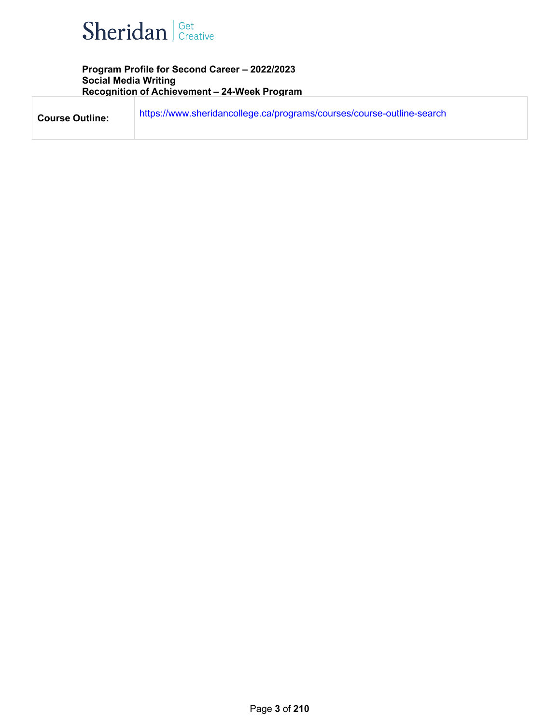

| <b>Course Outline:</b> | https://www.sheridancollege.ca/programs/courses/course-outline-search |
|------------------------|-----------------------------------------------------------------------|
|                        |                                                                       |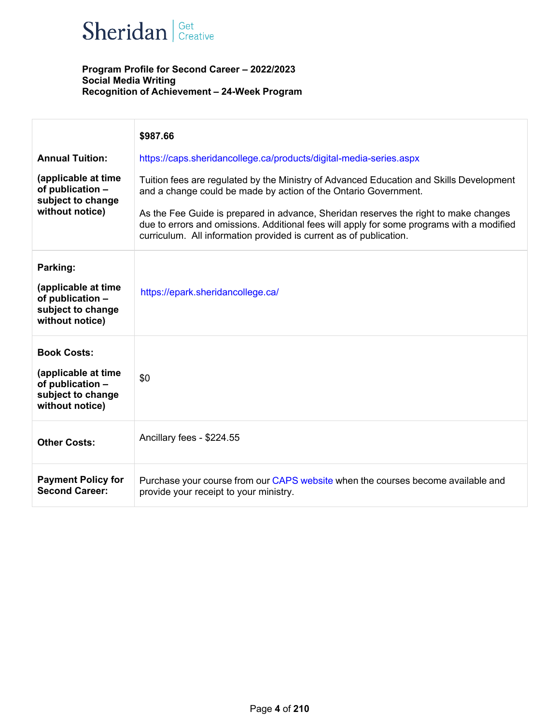

|                                                                                                       | \$987.66                                                                                                                                                                                                                                                |
|-------------------------------------------------------------------------------------------------------|---------------------------------------------------------------------------------------------------------------------------------------------------------------------------------------------------------------------------------------------------------|
| <b>Annual Tuition:</b>                                                                                | https://caps.sheridancollege.ca/products/digital-media-series.aspx                                                                                                                                                                                      |
| (applicable at time<br>of publication -<br>subject to change<br>without notice)                       | Tuition fees are regulated by the Ministry of Advanced Education and Skills Development<br>and a change could be made by action of the Ontario Government.                                                                                              |
|                                                                                                       | As the Fee Guide is prepared in advance, Sheridan reserves the right to make changes<br>due to errors and omissions. Additional fees will apply for some programs with a modified<br>curriculum. All information provided is current as of publication. |
| Parking:<br>(applicable at time<br>of publication -<br>subject to change<br>without notice)           | https://epark.sheridancollege.ca/                                                                                                                                                                                                                       |
| <b>Book Costs:</b><br>(applicable at time<br>of publication -<br>subject to change<br>without notice) | \$0                                                                                                                                                                                                                                                     |
| <b>Other Costs:</b>                                                                                   | Ancillary fees - \$224.55                                                                                                                                                                                                                               |
| <b>Payment Policy for</b><br><b>Second Career:</b>                                                    | Purchase your course from our CAPS website when the courses become available and<br>provide your receipt to your ministry.                                                                                                                              |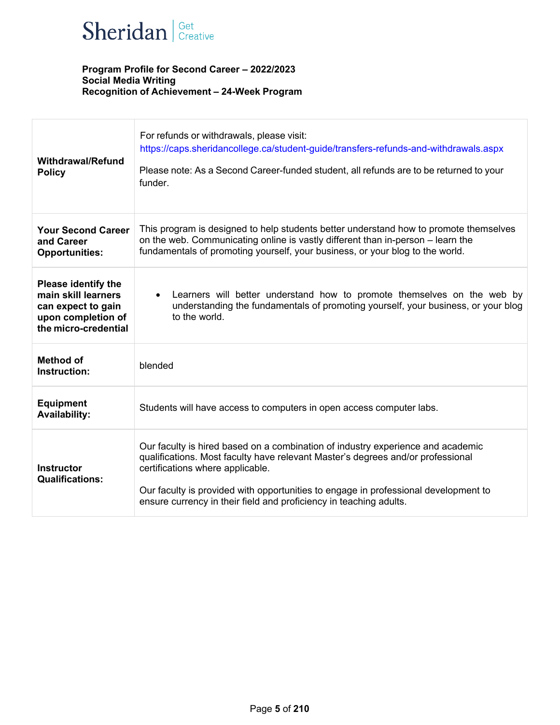

| <b>Withdrawal/Refund</b><br><b>Policy</b>                                                                             | For refunds or withdrawals, please visit:<br>https://caps.sheridancollege.ca/student-guide/transfers-refunds-and-withdrawals.aspx<br>Please note: As a Second Career-funded student, all refunds are to be returned to your<br>funder.                                                                                                                              |  |
|-----------------------------------------------------------------------------------------------------------------------|---------------------------------------------------------------------------------------------------------------------------------------------------------------------------------------------------------------------------------------------------------------------------------------------------------------------------------------------------------------------|--|
| <b>Your Second Career</b><br>and Career<br><b>Opportunities:</b>                                                      | This program is designed to help students better understand how to promote themselves<br>on the web. Communicating online is vastly different than in-person - learn the<br>fundamentals of promoting yourself, your business, or your blog to the world.                                                                                                           |  |
| <b>Please identify the</b><br>main skill learners<br>can expect to gain<br>upon completion of<br>the micro-credential | Learners will better understand how to promote themselves on the web by<br>$\bullet$<br>understanding the fundamentals of promoting yourself, your business, or your blog<br>to the world.                                                                                                                                                                          |  |
| <b>Method of</b><br>Instruction:                                                                                      | blended                                                                                                                                                                                                                                                                                                                                                             |  |
| <b>Equipment</b><br><b>Availability:</b>                                                                              | Students will have access to computers in open access computer labs.                                                                                                                                                                                                                                                                                                |  |
| <b>Instructor</b><br><b>Qualifications:</b>                                                                           | Our faculty is hired based on a combination of industry experience and academic<br>qualifications. Most faculty have relevant Master's degrees and/or professional<br>certifications where applicable.<br>Our faculty is provided with opportunities to engage in professional development to<br>ensure currency in their field and proficiency in teaching adults. |  |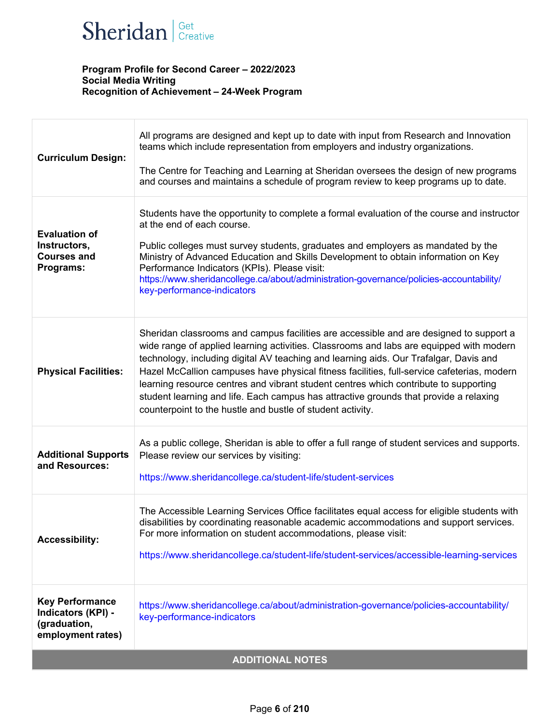

| <b>Curriculum Design:</b>                                                         | All programs are designed and kept up to date with input from Research and Innovation<br>teams which include representation from employers and industry organizations.<br>The Centre for Teaching and Learning at Sheridan oversees the design of new programs<br>and courses and maintains a schedule of program review to keep programs up to date.                                                                                                                                                                                                                                                                   |  |
|-----------------------------------------------------------------------------------|-------------------------------------------------------------------------------------------------------------------------------------------------------------------------------------------------------------------------------------------------------------------------------------------------------------------------------------------------------------------------------------------------------------------------------------------------------------------------------------------------------------------------------------------------------------------------------------------------------------------------|--|
| <b>Evaluation of</b><br>Instructors,<br><b>Courses and</b><br>Programs:           | Students have the opportunity to complete a formal evaluation of the course and instructor<br>at the end of each course.<br>Public colleges must survey students, graduates and employers as mandated by the<br>Ministry of Advanced Education and Skills Development to obtain information on Key<br>Performance Indicators (KPIs). Please visit:<br>https://www.sheridancollege.ca/about/administration-governance/policies-accountability/<br>key-performance-indicators                                                                                                                                             |  |
| <b>Physical Facilities:</b>                                                       | Sheridan classrooms and campus facilities are accessible and are designed to support a<br>wide range of applied learning activities. Classrooms and labs are equipped with modern<br>technology, including digital AV teaching and learning aids. Our Trafalgar, Davis and<br>Hazel McCallion campuses have physical fitness facilities, full-service cafeterias, modern<br>learning resource centres and vibrant student centres which contribute to supporting<br>student learning and life. Each campus has attractive grounds that provide a relaxing<br>counterpoint to the hustle and bustle of student activity. |  |
| <b>Additional Supports</b><br>and Resources:                                      | As a public college, Sheridan is able to offer a full range of student services and supports.<br>Please review our services by visiting:<br>https://www.sheridancollege.ca/student-life/student-services                                                                                                                                                                                                                                                                                                                                                                                                                |  |
| <b>Accessibility:</b>                                                             | The Accessible Learning Services Office facilitates equal access for eligible students with<br>disabilities by coordinating reasonable academic accommodations and support services.<br>For more information on student accommodations, please visit:<br>https://www.sheridancollege.ca/student-life/student-services/accessible-learning-services                                                                                                                                                                                                                                                                      |  |
| <b>Key Performance</b><br>Indicators (KPI) -<br>(graduation,<br>employment rates) | https://www.sheridancollege.ca/about/administration-governance/policies-accountability/<br>key-performance-indicators                                                                                                                                                                                                                                                                                                                                                                                                                                                                                                   |  |
| <b>ADDITIONAL NOTES</b>                                                           |                                                                                                                                                                                                                                                                                                                                                                                                                                                                                                                                                                                                                         |  |